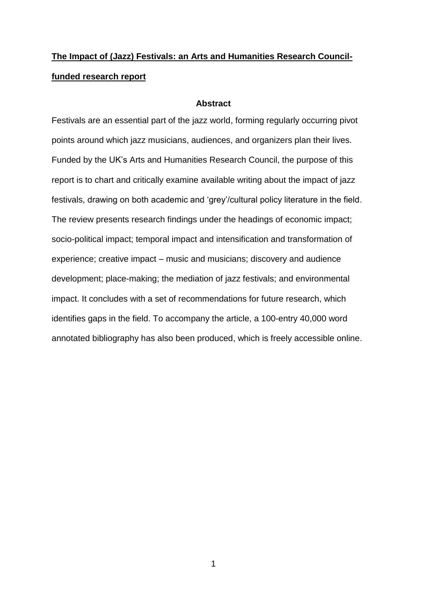# **The Impact of (Jazz) Festivals: an Arts and Humanities Research Councilfunded research report**

#### **Abstract**

Festivals are an essential part of the jazz world, forming regularly occurring pivot points around which jazz musicians, audiences, and organizers plan their lives. Funded by the UK's Arts and Humanities Research Council, the purpose of this report is to chart and critically examine available writing about the impact of jazz festivals, drawing on both academic and 'grey'/cultural policy literature in the field. The review presents research findings under the headings of economic impact; socio-political impact; temporal impact and intensification and transformation of experience; creative impact – music and musicians; discovery and audience development; place-making; the mediation of jazz festivals; and environmental impact. It concludes with a set of recommendations for future research, which identifies gaps in the field. To accompany the article, a 100-entry 40,000 word annotated bibliography has also been produced, which is freely accessible online.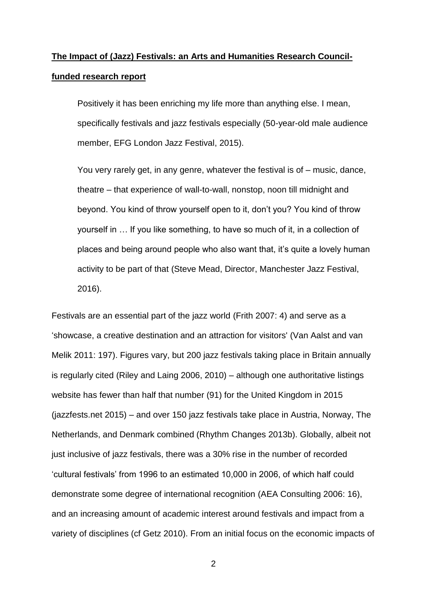# **The Impact of (Jazz) Festivals: an Arts and Humanities Research Councilfunded research report**

Positively it has been enriching my life more than anything else. I mean, specifically festivals and jazz festivals especially (50-year-old male audience member, EFG London Jazz Festival, 2015).

You very rarely get, in any genre, whatever the festival is of – music, dance, theatre – that experience of wall-to-wall, nonstop, noon till midnight and beyond. You kind of throw yourself open to it, don't you? You kind of throw yourself in … If you like something, to have so much of it, in a collection of places and being around people who also want that, it's quite a lovely human activity to be part of that (Steve Mead, Director, Manchester Jazz Festival, 2016).

Festivals are an essential part of the jazz world (Frith 2007: 4) and serve as a 'showcase, a creative destination and an attraction for visitors' (Van Aalst and van Melik 2011: 197). Figures vary, but 200 jazz festivals taking place in Britain annually is regularly cited (Riley and Laing 2006, 2010) – although one authoritative listings website has fewer than half that number (91) for the United Kingdom in 2015 (jazzfests.net 2015) – and over 150 jazz festivals take place in Austria, Norway, The Netherlands, and Denmark combined (Rhythm Changes 2013b). Globally, albeit not just inclusive of jazz festivals, there was a 30% rise in the number of recorded 'cultural festivals' from 1996 to an estimated 10,000 in 2006, of which half could demonstrate some degree of international recognition (AEA Consulting 2006: 16), and an increasing amount of academic interest around festivals and impact from a variety of disciplines (cf Getz 2010). From an initial focus on the economic impacts of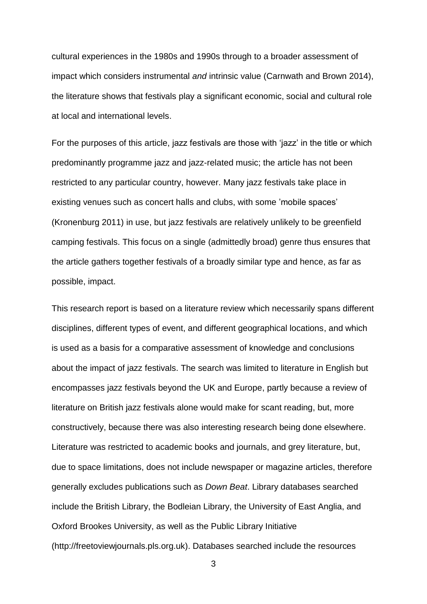cultural experiences in the 1980s and 1990s through to a broader assessment of impact which considers instrumental *and* intrinsic value (Carnwath and Brown 2014), the literature shows that festivals play a significant economic, social and cultural role at local and international levels.

For the purposes of this article, jazz festivals are those with 'jazz' in the title or which predominantly programme jazz and jazz-related music; the article has not been restricted to any particular country, however. Many jazz festivals take place in existing venues such as concert halls and clubs, with some 'mobile spaces' (Kronenburg 2011) in use, but jazz festivals are relatively unlikely to be greenfield camping festivals. This focus on a single (admittedly broad) genre thus ensures that the article gathers together festivals of a broadly similar type and hence, as far as possible, impact.

This research report is based on a literature review which necessarily spans different disciplines, different types of event, and different geographical locations, and which is used as a basis for a comparative assessment of knowledge and conclusions about the impact of jazz festivals. The search was limited to literature in English but encompasses jazz festivals beyond the UK and Europe, partly because a review of literature on British jazz festivals alone would make for scant reading, but, more constructively, because there was also interesting research being done elsewhere. Literature was restricted to academic books and journals, and grey literature, but, due to space limitations, does not include newspaper or magazine articles, therefore generally excludes publications such as *Down Beat*. Library databases searched include the British Library, the Bodleian Library, the University of East Anglia, and Oxford Brookes University, as well as the Public Library Initiative (http://freetoviewjournals.pls.org.uk). Databases searched include the resources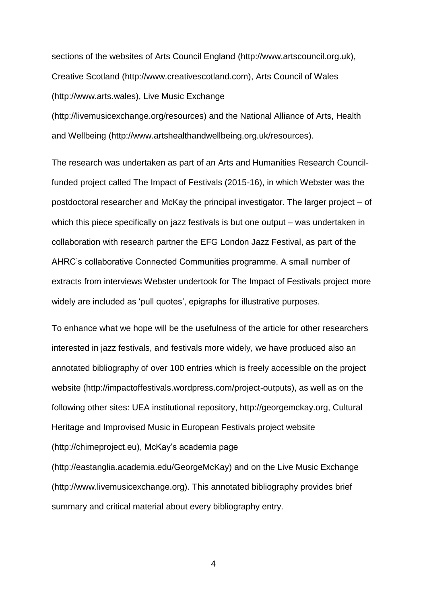sections of the websites of Arts Council England (http://www.artscouncil.org.uk), Creative Scotland (http://www.creativescotland.com), Arts Council of Wales (http://www.arts.wales), Live Music Exchange

(http://livemusicexchange.org/resources) and the National Alliance of Arts, Health and Wellbeing (http://www.artshealthandwellbeing.org.uk/resources).

The research was undertaken as part of an Arts and Humanities Research Councilfunded project called The Impact of Festivals (2015-16), in which Webster was the postdoctoral researcher and McKay the principal investigator. The larger project – of which this piece specifically on jazz festivals is but one output – was undertaken in collaboration with research partner the EFG London Jazz Festival, as part of the AHRC's collaborative Connected Communities programme. A small number of extracts from interviews Webster undertook for The Impact of Festivals project more widely are included as 'pull quotes', epigraphs for illustrative purposes.

To enhance what we hope will be the usefulness of the article for other researchers interested in jazz festivals, and festivals more widely, we have produced also an annotated bibliography of over 100 entries which is freely accessible on the project website (http://impactoffestivals.wordpress.com/project-outputs), as well as on the following other sites: UEA institutional repository, http://georgemckay.org, Cultural Heritage and Improvised Music in European Festivals project website (http://chimeproject.eu), McKay's academia page

(http://eastanglia.academia.edu/GeorgeMcKay) and on the Live Music Exchange (http://www.livemusicexchange.org). This annotated bibliography provides brief summary and critical material about every bibliography entry.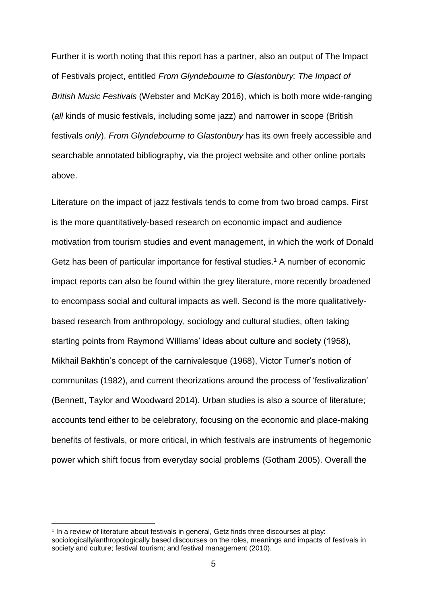Further it is worth noting that this report has a partner, also an output of The Impact of Festivals project, entitled *From Glyndebourne to Glastonbury: The Impact of British Music Festivals* (Webster and McKay 2016), which is both more wide-ranging (*all* kinds of music festivals, including some jazz) and narrower in scope (British festivals *only*). *From Glyndebourne to Glastonbury* has its own freely accessible and searchable annotated bibliography, via the project website and other online portals above.

Literature on the impact of jazz festivals tends to come from two broad camps. First is the more quantitatively-based research on economic impact and audience motivation from tourism studies and event management, in which the work of Donald Getz has been of particular importance for festival studies.<sup>1</sup> A number of economic impact reports can also be found within the grey literature, more recently broadened to encompass social and cultural impacts as well. Second is the more qualitativelybased research from anthropology, sociology and cultural studies, often taking starting points from Raymond Williams' ideas about culture and society (1958), Mikhail Bakhtin's concept of the carnivalesque (1968), Victor Turner's notion of communitas (1982), and current theorizations around the process of 'festivalization' (Bennett, Taylor and Woodward 2014). Urban studies is also a source of literature; accounts tend either to be celebratory, focusing on the economic and place-making benefits of festivals, or more critical, in which festivals are instruments of hegemonic power which shift focus from everyday social problems (Gotham 2005). Overall the

<sup>1</sup> In a review of literature about festivals in general, Getz finds three discourses at play: sociologically/anthropologically based discourses on the roles, meanings and impacts of festivals in society and culture; festival tourism; and festival management (2010).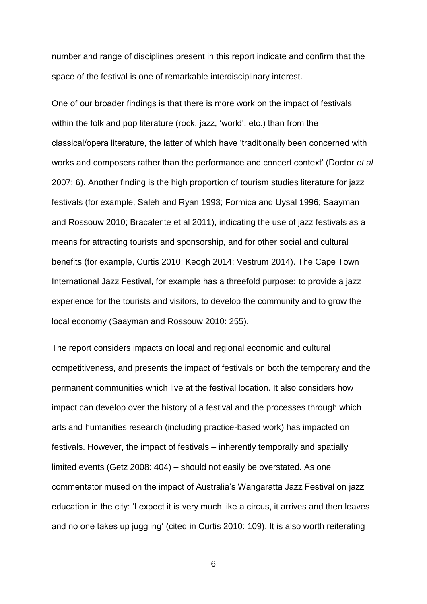number and range of disciplines present in this report indicate and confirm that the space of the festival is one of remarkable interdisciplinary interest.

One of our broader findings is that there is more work on the impact of festivals within the folk and pop literature (rock, jazz, 'world', etc.) than from the classical/opera literature, the latter of which have 'traditionally been concerned with works and composers rather than the performance and concert context' (Doctor *et al* 2007: 6). Another finding is the high proportion of tourism studies literature for jazz festivals (for example, Saleh and Ryan 1993; Formica and Uysal 1996; Saayman and Rossouw 2010; Bracalente et al 2011), indicating the use of jazz festivals as a means for attracting tourists and sponsorship, and for other social and cultural benefits (for example, Curtis 2010; Keogh 2014; Vestrum 2014). The Cape Town International Jazz Festival, for example has a threefold purpose: to provide a jazz experience for the tourists and visitors, to develop the community and to grow the local economy (Saayman and Rossouw 2010: 255).

The report considers impacts on local and regional economic and cultural competitiveness, and presents the impact of festivals on both the temporary and the permanent communities which live at the festival location. It also considers how impact can develop over the history of a festival and the processes through which arts and humanities research (including practice-based work) has impacted on festivals. However, the impact of festivals – inherently temporally and spatially limited events (Getz 2008: 404) – should not easily be overstated. As one commentator mused on the impact of Australia's Wangaratta Jazz Festival on jazz education in the city: 'I expect it is very much like a circus, it arrives and then leaves and no one takes up juggling' (cited in Curtis 2010: 109). It is also worth reiterating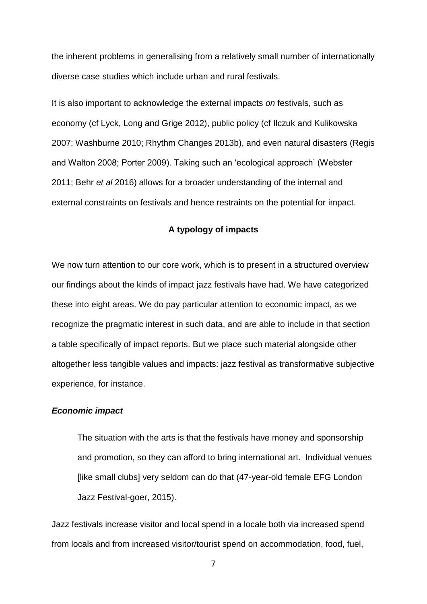the inherent problems in generalising from a relatively small number of internationally diverse case studies which include urban and rural festivals.

It is also important to acknowledge the external impacts *on* festivals, such as economy (cf Lyck, Long and Grige 2012), public policy (cf Ilczuk and Kulikowska 2007; Washburne 2010; Rhythm Changes 2013b), and even natural disasters (Regis and Walton 2008; Porter 2009). Taking such an 'ecological approach' (Webster 2011; Behr *et al* 2016) allows for a broader understanding of the internal and external constraints on festivals and hence restraints on the potential for impact.

### **A typology of impacts**

We now turn attention to our core work, which is to present in a structured overview our findings about the kinds of impact jazz festivals have had. We have categorized these into eight areas. We do pay particular attention to economic impact, as we recognize the pragmatic interest in such data, and are able to include in that section a table specifically of impact reports. But we place such material alongside other altogether less tangible values and impacts: jazz festival as transformative subjective experience, for instance.

#### *Economic impact*

The situation with the arts is that the festivals have money and sponsorship and promotion, so they can afford to bring international art. Individual venues [like small clubs] very seldom can do that (47-year-old female EFG London Jazz Festival-goer, 2015).

Jazz festivals increase visitor and local spend in a locale both via increased spend from locals and from increased visitor/tourist spend on accommodation, food, fuel,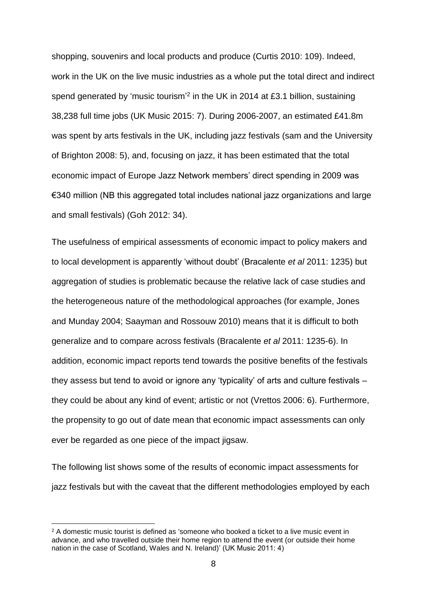shopping, souvenirs and local products and produce (Curtis 2010: 109). Indeed, work in the UK on the live music industries as a whole put the total direct and indirect spend generated by 'music tourism'<sup>2</sup> in the UK in 2014 at £3.1 billion, sustaining 38,238 full time jobs (UK Music 2015: 7). During 2006-2007, an estimated £41.8m was spent by arts festivals in the UK, including jazz festivals (sam and the University of Brighton 2008: 5), and, focusing on jazz, it has been estimated that the total economic impact of Europe Jazz Network members' direct spending in 2009 was €340 million (NB this aggregated total includes national jazz organizations and large and small festivals) (Goh 2012: 34).

The usefulness of empirical assessments of economic impact to policy makers and to local development is apparently 'without doubt' (Bracalente *et al* 2011: 1235) but aggregation of studies is problematic because the relative lack of case studies and the heterogeneous nature of the methodological approaches (for example, Jones and Munday 2004; Saayman and Rossouw 2010) means that it is difficult to both generalize and to compare across festivals (Bracalente *et al* 2011: 1235-6). In addition, economic impact reports tend towards the positive benefits of the festivals they assess but tend to avoid or ignore any 'typicality' of arts and culture festivals – they could be about any kind of event; artistic or not (Vrettos 2006: 6). Furthermore, the propensity to go out of date mean that economic impact assessments can only ever be regarded as one piece of the impact jigsaw.

The following list shows some of the results of economic impact assessments for jazz festivals but with the caveat that the different methodologies employed by each

 $2A$  domestic music tourist is defined as 'someone who booked a ticket to a live music event in advance, and who travelled outside their home region to attend the event (or outside their home nation in the case of Scotland, Wales and N. Ireland)' (UK Music 2011: 4)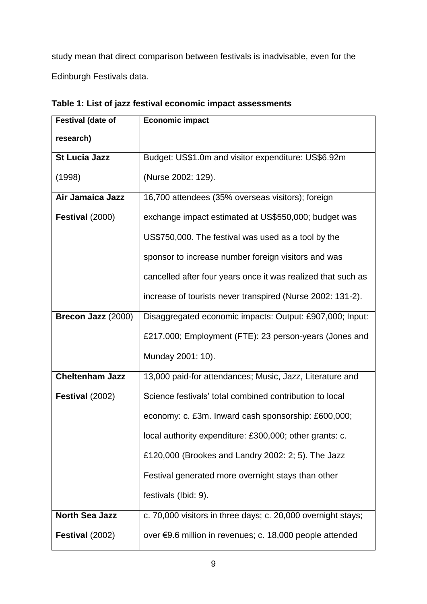study mean that direct comparison between festivals is inadvisable, even for the Edinburgh Festivals data.

| <b>Festival (date of</b> | <b>Economic impact</b>                                       |
|--------------------------|--------------------------------------------------------------|
| research)                |                                                              |
| <b>St Lucia Jazz</b>     | Budget: US\$1.0m and visitor expenditure: US\$6.92m          |
| (1998)                   | (Nurse 2002: 129).                                           |
| Air Jamaica Jazz         | 16,700 attendees (35% overseas visitors); foreign            |
| Festival (2000)          | exchange impact estimated at US\$550,000; budget was         |
|                          | US\$750,000. The festival was used as a tool by the          |
|                          | sponsor to increase number foreign visitors and was          |
|                          | cancelled after four years once it was realized that such as |
|                          | increase of tourists never transpired (Nurse 2002: 131-2).   |
| Brecon Jazz (2000)       | Disaggregated economic impacts: Output: £907,000; Input:     |
|                          | £217,000; Employment (FTE): 23 person-years (Jones and       |
|                          | Munday 2001: 10).                                            |
| <b>Cheltenham Jazz</b>   | 13,000 paid-for attendances; Music, Jazz, Literature and     |
| Festival (2002)          | Science festivals' total combined contribution to local      |
|                          | economy: c. £3m. Inward cash sponsorship: £600,000;          |
|                          | local authority expenditure: £300,000; other grants: c.      |
|                          | £120,000 (Brookes and Landry 2002: 2; 5). The Jazz           |
|                          | Festival generated more overnight stays than other           |
|                          | festivals (Ibid: 9).                                         |
| <b>North Sea Jazz</b>    | c. 70,000 visitors in three days; c. 20,000 overnight stays; |
| Festival (2002)          | over €9.6 million in revenues; c. 18,000 people attended     |

**Table 1: List of jazz festival economic impact assessments**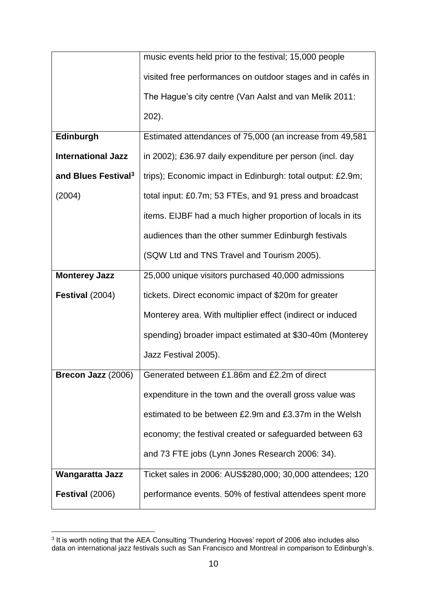|                                 | music events held prior to the festival; 15,000 people      |
|---------------------------------|-------------------------------------------------------------|
|                                 | visited free performances on outdoor stages and in cafés in |
|                                 | The Hague's city centre (Van Aalst and van Melik 2011:      |
|                                 | $202$ ).                                                    |
| Edinburgh                       | Estimated attendances of 75,000 (an increase from 49,581    |
| <b>International Jazz</b>       | in 2002); £36.97 daily expenditure per person (incl. day    |
| and Blues Festival <sup>3</sup> | trips); Economic impact in Edinburgh: total output: £2.9m;  |
| (2004)                          | total input: £0.7m; 53 FTEs, and 91 press and broadcast     |
|                                 | items. EIJBF had a much higher proportion of locals in its  |
|                                 | audiences than the other summer Edinburgh festivals         |
|                                 | (SQW Ltd and TNS Travel and Tourism 2005).                  |
| <b>Monterey Jazz</b>            | 25,000 unique visitors purchased 40,000 admissions          |
| Festival (2004)                 | tickets. Direct economic impact of \$20m for greater        |
|                                 | Monterey area. With multiplier effect (indirect or induced  |
|                                 | spending) broader impact estimated at \$30-40m (Monterey    |
|                                 | Jazz Festival 2005).                                        |
| Brecon Jazz (2006)              | Generated between £1.86m and £2.2m of direct                |
|                                 | expenditure in the town and the overall gross value was     |
|                                 | estimated to be between £2.9m and £3.37m in the Welsh       |
|                                 | economy; the festival created or safeguarded between 63     |
|                                 | and 73 FTE jobs (Lynn Jones Research 2006: 34).             |
| <b>Wangaratta Jazz</b>          | Ticket sales in 2006: AUS\$280,000; 30,000 attendees; 120   |
| Festival (2006)                 | performance events. 50% of festival attendees spent more    |

 3 It is worth noting that the AEA Consulting 'Thundering Hooves' report of 2006 also includes also data on international jazz festivals such as San Francisco and Montreal in comparison to Edinburgh's.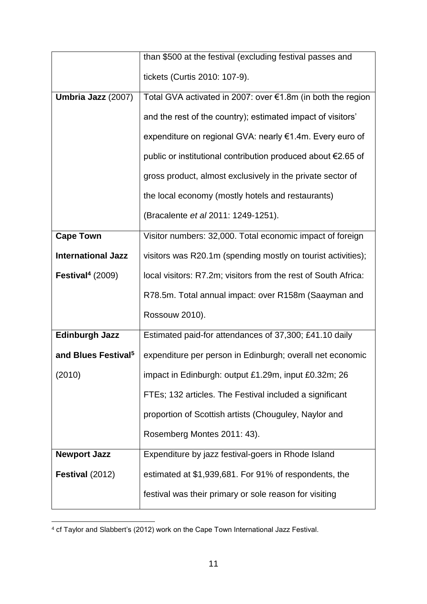|                                 | than \$500 at the festival (excluding festival passes and      |
|---------------------------------|----------------------------------------------------------------|
|                                 | tickets (Curtis 2010: 107-9).                                  |
| Umbria Jazz (2007)              | Total GVA activated in 2007: over €1.8m (in both the region    |
|                                 | and the rest of the country); estimated impact of visitors'    |
|                                 | expenditure on regional GVA: nearly €1.4m. Every euro of       |
|                                 | public or institutional contribution produced about €2.65 of   |
|                                 | gross product, almost exclusively in the private sector of     |
|                                 | the local economy (mostly hotels and restaurants)              |
|                                 | (Bracalente et al 2011: 1249-1251).                            |
| <b>Cape Town</b>                | Visitor numbers: 32,000. Total economic impact of foreign      |
| <b>International Jazz</b>       | visitors was R20.1m (spending mostly on tourist activities);   |
| Festival <sup>4</sup> $(2009)$  | local visitors: R7.2m; visitors from the rest of South Africa: |
|                                 | R78.5m. Total annual impact: over R158m (Saayman and           |
|                                 | Rossouw 2010).                                                 |
| <b>Edinburgh Jazz</b>           | Estimated paid-for attendances of 37,300; £41.10 daily         |
| and Blues Festival <sup>5</sup> | expenditure per person in Edinburgh; overall net economic      |
| (2010)                          | impact in Edinburgh: output £1.29m, input £0.32m; 26           |
|                                 | FTEs; 132 articles. The Festival included a significant        |
|                                 | proportion of Scottish artists (Chouguley, Naylor and          |
|                                 | Rosemberg Montes 2011: 43).                                    |
| <b>Newport Jazz</b>             | Expenditure by jazz festival-goers in Rhode Island             |
| Festival (2012)                 | estimated at \$1,939,681. For 91% of respondents, the          |
|                                 | festival was their primary or sole reason for visiting         |

 $\overline{a}$ <sup>4</sup> cf Taylor and Slabbert's (2012) work on the Cape Town International Jazz Festival.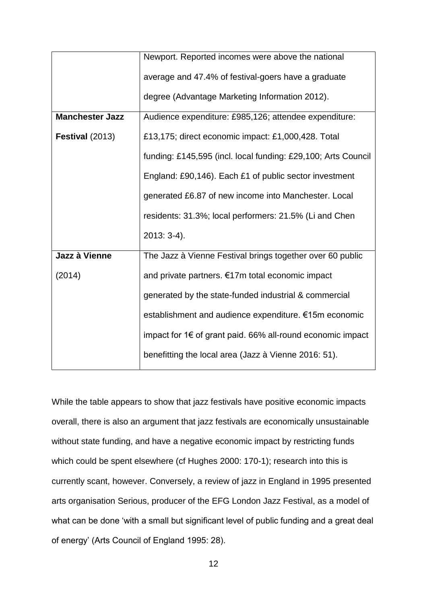|                        | Newport. Reported incomes were above the national                          |
|------------------------|----------------------------------------------------------------------------|
|                        | average and 47.4% of festival-goers have a graduate                        |
|                        | degree (Advantage Marketing Information 2012).                             |
| <b>Manchester Jazz</b> | Audience expenditure: £985,126; attendee expenditure:                      |
| Festival (2013)        | £13,175; direct economic impact: £1,000,428. Total                         |
|                        | funding: £145,595 (incl. local funding: £29,100; Arts Council              |
|                        | England: £90,146). Each £1 of public sector investment                     |
|                        | generated £6.87 of new income into Manchester. Local                       |
|                        | residents: 31.3%; local performers: 21.5% (Li and Chen                     |
|                        | $2013:3-4$ ).                                                              |
| Jazz à Vienne          | The Jazz à Vienne Festival brings together over 60 public                  |
| (2014)                 | and private partners. €17m total economic impact                           |
|                        | generated by the state-funded industrial & commercial                      |
|                        | establishment and audience expenditure. €15m economic                      |
|                        | impact for $1 \in \mathfrak{of}$ grant paid. 66% all-round economic impact |
|                        | benefitting the local area (Jazz à Vienne 2016: 51).                       |

While the table appears to show that jazz festivals have positive economic impacts overall, there is also an argument that jazz festivals are economically unsustainable without state funding, and have a negative economic impact by restricting funds which could be spent elsewhere (cf Hughes 2000: 170-1); research into this is currently scant, however. Conversely, a review of jazz in England in 1995 presented arts organisation Serious, producer of the EFG London Jazz Festival, as a model of what can be done 'with a small but significant level of public funding and a great deal of energy' (Arts Council of England 1995: 28).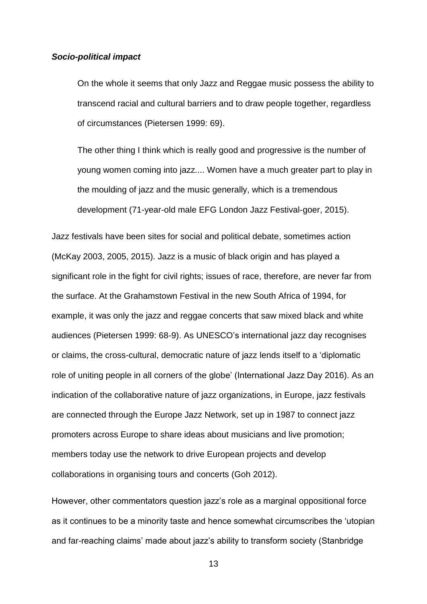#### *Socio-political impact*

On the whole it seems that only Jazz and Reggae music possess the ability to transcend racial and cultural barriers and to draw people together, regardless of circumstances (Pietersen 1999: 69).

The other thing I think which is really good and progressive is the number of young women coming into jazz.... Women have a much greater part to play in the moulding of jazz and the music generally, which is a tremendous development (71-year-old male EFG London Jazz Festival-goer, 2015).

Jazz festivals have been sites for social and political debate, sometimes action (McKay 2003, 2005, 2015). Jazz is a music of black origin and has played a significant role in the fight for civil rights; issues of race, therefore, are never far from the surface. At the Grahamstown Festival in the new South Africa of 1994, for example, it was only the jazz and reggae concerts that saw mixed black and white audiences (Pietersen 1999: 68-9). As UNESCO's international jazz day recognises or claims, the cross-cultural, democratic nature of jazz lends itself to a 'diplomatic role of uniting people in all corners of the globe' (International Jazz Day 2016). As an indication of the collaborative nature of jazz organizations, in Europe, jazz festivals are connected through the Europe Jazz Network, set up in 1987 to connect jazz promoters across Europe to share ideas about musicians and live promotion; members today use the network to drive European projects and develop collaborations in organising tours and concerts (Goh 2012).

However, other commentators question jazz's role as a marginal oppositional force as it continues to be a minority taste and hence somewhat circumscribes the 'utopian and far-reaching claims' made about jazz's ability to transform society (Stanbridge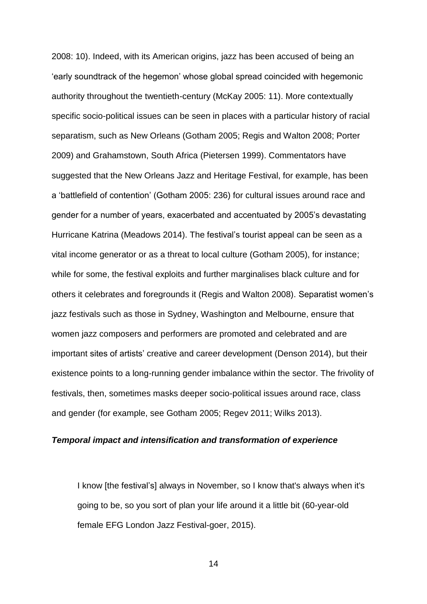2008: 10). Indeed, with its American origins, jazz has been accused of being an 'early soundtrack of the hegemon' whose global spread coincided with hegemonic authority throughout the twentieth-century (McKay 2005: 11). More contextually specific socio-political issues can be seen in places with a particular history of racial separatism, such as New Orleans (Gotham 2005; Regis and Walton 2008; Porter 2009) and Grahamstown, South Africa (Pietersen 1999). Commentators have suggested that the New Orleans Jazz and Heritage Festival, for example, has been a 'battlefield of contention' (Gotham 2005: 236) for cultural issues around race and gender for a number of years, exacerbated and accentuated by 2005's devastating Hurricane Katrina (Meadows 2014). The festival's tourist appeal can be seen as a vital income generator or as a threat to local culture (Gotham 2005), for instance; while for some, the festival exploits and further marginalises black culture and for others it celebrates and foregrounds it (Regis and Walton 2008). Separatist women's jazz festivals such as those in Sydney, Washington and Melbourne, ensure that women jazz composers and performers are promoted and celebrated and are important sites of artists' creative and career development (Denson 2014), but their existence points to a long-running gender imbalance within the sector. The frivolity of festivals, then, sometimes masks deeper socio-political issues around race, class and gender (for example, see Gotham 2005; Regev 2011; Wilks 2013).

#### *Temporal impact and intensification and transformation of experience*

I know [the festival's] always in November, so I know that's always when it's going to be, so you sort of plan your life around it a little bit (60-year-old female EFG London Jazz Festival-goer, 2015).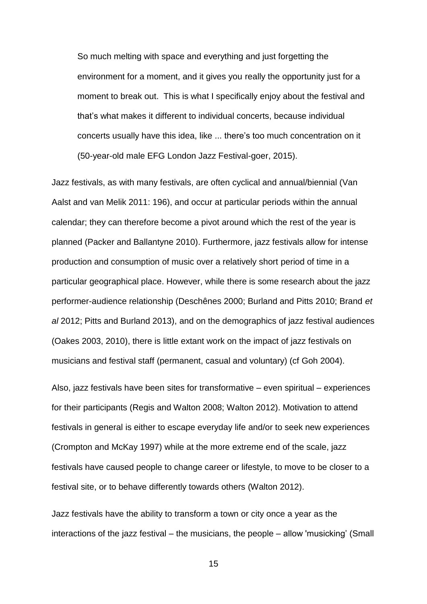So much melting with space and everything and just forgetting the environment for a moment, and it gives you really the opportunity just for a moment to break out. This is what I specifically enjoy about the festival and that's what makes it different to individual concerts, because individual concerts usually have this idea, like ... there's too much concentration on it (50-year-old male EFG London Jazz Festival-goer, 2015).

Jazz festivals, as with many festivals, are often cyclical and annual/biennial (Van Aalst and van Melik 2011: 196), and occur at particular periods within the annual calendar; they can therefore become a pivot around which the rest of the year is planned (Packer and Ballantyne 2010). Furthermore, jazz festivals allow for intense production and consumption of music over a relatively short period of time in a particular geographical place. However, while there is some research about the jazz performer-audience relationship (Deschênes 2000; Burland and Pitts 2010; Brand *et al* 2012; Pitts and Burland 2013), and on the demographics of jazz festival audiences (Oakes 2003, 2010), there is little extant work on the impact of jazz festivals on musicians and festival staff (permanent, casual and voluntary) (cf Goh 2004).

Also, jazz festivals have been sites for transformative – even spiritual – experiences for their participants (Regis and Walton 2008; Walton 2012). Motivation to attend festivals in general is either to escape everyday life and/or to seek new experiences (Crompton and McKay 1997) while at the more extreme end of the scale, jazz festivals have caused people to change career or lifestyle, to move to be closer to a festival site, or to behave differently towards others (Walton 2012).

Jazz festivals have the ability to transform a town or city once a year as the interactions of the jazz festival – the musicians, the people – allow 'musicking' (Small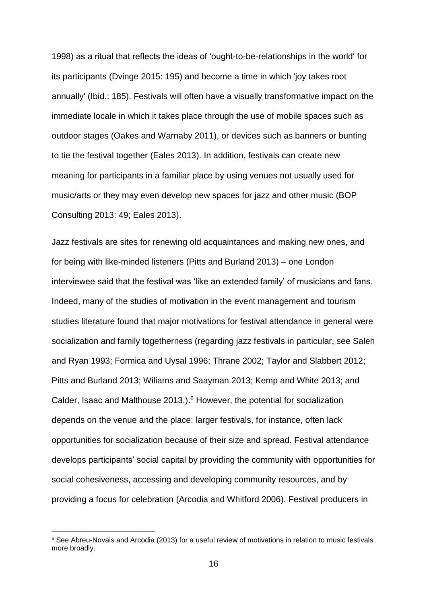1998) as a ritual that reflects the ideas of 'ought-to-be-relationships in the world' for its participants (Dvinge 2015: 195) and become a time in which 'joy takes root annually' (Ibid.: 185). Festivals will often have a visually transformative impact on the immediate locale in which it takes place through the use of mobile spaces such as outdoor stages (Oakes and Warnaby 2011), or devices such as banners or bunting to tie the festival together (Eales 2013). In addition, festivals can create new meaning for participants in a familiar place by using venues not usually used for music/arts or they may even develop new spaces for jazz and other music (BOP Consulting 2013: 49; Eales 2013).

Jazz festivals are sites for renewing old acquaintances and making new ones, and for being with like-minded listeners (Pitts and Burland 2013) – one London interviewee said that the festival was 'like an extended family' of musicians and fans. Indeed, many of the studies of motivation in the event management and tourism studies literature found that major motivations for festival attendance in general were socialization and family togetherness (regarding jazz festivals in particular, see Saleh and Ryan 1993; Formica and Uysal 1996; Thrane 2002; Taylor and Slabbert 2012; Pitts and Burland 2013; Wiliams and Saayman 2013; Kemp and White 2013; and Calder, Isaac and Malthouse 2013.). <sup>6</sup> However, the potential for socialization depends on the venue and the place: larger festivals, for instance, often lack opportunities for socialization because of their size and spread. Festival attendance develops participants' social capital by providing the community with opportunities for social cohesiveness, accessing and developing community resources, and by providing a focus for celebration (Arcodia and Whitford 2006). Festival producers in

<sup>6</sup> See Abreu-Novais and Arcodia (2013) for a useful review of motivations in relation to music festivals more broadly.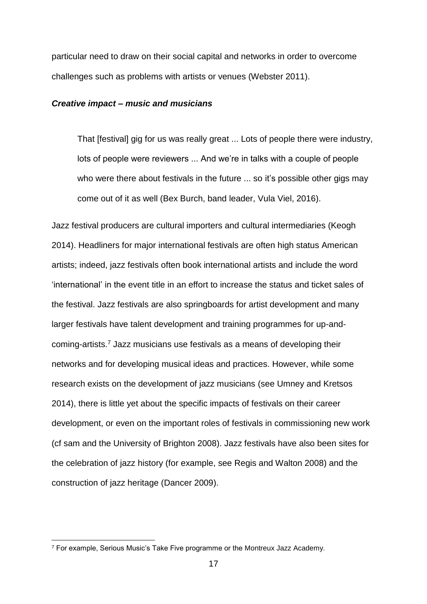particular need to draw on their social capital and networks in order to overcome challenges such as problems with artists or venues (Webster 2011).

#### *Creative impact – music and musicians*

That [festival] gig for us was really great ... Lots of people there were industry, lots of people were reviewers ... And we're in talks with a couple of people who were there about festivals in the future ... so it's possible other gigs may come out of it as well (Bex Burch, band leader, Vula Viel, 2016).

Jazz festival producers are cultural importers and cultural intermediaries (Keogh 2014). Headliners for major international festivals are often high status American artists; indeed, jazz festivals often book international artists and include the word 'international' in the event title in an effort to increase the status and ticket sales of the festival. Jazz festivals are also springboards for artist development and many larger festivals have talent development and training programmes for up-andcoming-artists.<sup>7</sup> Jazz musicians use festivals as a means of developing their networks and for developing musical ideas and practices. However, while some research exists on the development of jazz musicians (see Umney and Kretsos 2014), there is little yet about the specific impacts of festivals on their career development, or even on the important roles of festivals in commissioning new work (cf sam and the University of Brighton 2008). Jazz festivals have also been sites for the celebration of jazz history (for example, see Regis and Walton 2008) and the construction of jazz heritage (Dancer 2009).

<sup>7</sup> For example, Serious Music's Take Five programme or the Montreux Jazz Academy.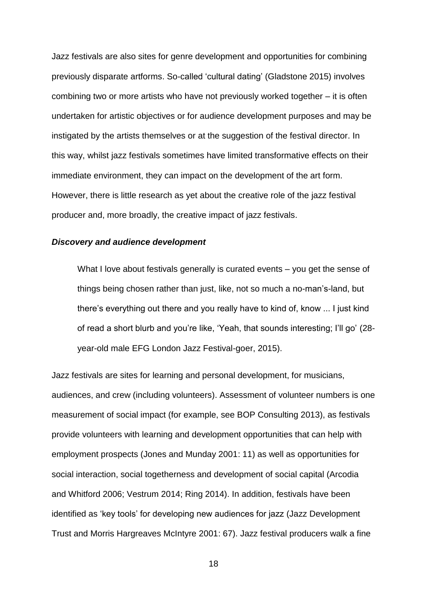Jazz festivals are also sites for genre development and opportunities for combining previously disparate artforms. So-called 'cultural dating' (Gladstone 2015) involves combining two or more artists who have not previously worked together – it is often undertaken for artistic objectives or for audience development purposes and may be instigated by the artists themselves or at the suggestion of the festival director. In this way, whilst jazz festivals sometimes have limited transformative effects on their immediate environment, they can impact on the development of the art form. However, there is little research as yet about the creative role of the jazz festival producer and, more broadly, the creative impact of jazz festivals.

### *Discovery and audience development*

What I love about festivals generally is curated events – you get the sense of things being chosen rather than just, like, not so much a no-man's-land, but there's everything out there and you really have to kind of, know ... I just kind of read a short blurb and you're like, 'Yeah, that sounds interesting; I'll go' (28 year-old male EFG London Jazz Festival-goer, 2015).

Jazz festivals are sites for learning and personal development, for musicians, audiences, and crew (including volunteers). Assessment of volunteer numbers is one measurement of social impact (for example, see BOP Consulting 2013), as festivals provide volunteers with learning and development opportunities that can help with employment prospects (Jones and Munday 2001: 11) as well as opportunities for social interaction, social togetherness and development of social capital (Arcodia and Whitford 2006; Vestrum 2014; Ring 2014). In addition, festivals have been identified as 'key tools' for developing new audiences for jazz (Jazz Development Trust and Morris Hargreaves McIntyre 2001: 67). Jazz festival producers walk a fine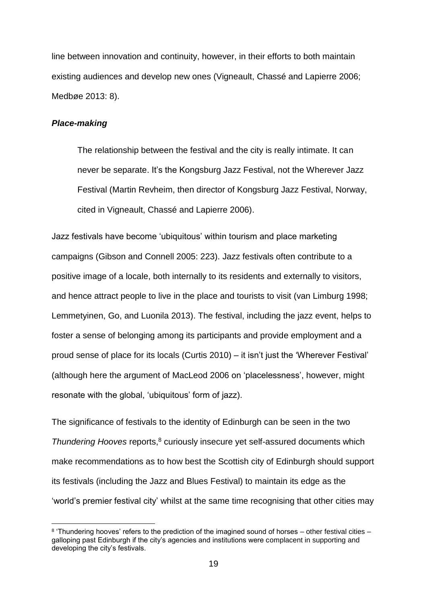line between innovation and continuity, however, in their efforts to both maintain existing audiences and develop new ones (Vigneault, Chassé and Lapierre 2006; Medbøe 2013: 8).

# *Place-making*

1

The relationship between the festival and the city is really intimate. It can never be separate. It's the Kongsburg Jazz Festival, not the Wherever Jazz Festival (Martin Revheim, then director of Kongsburg Jazz Festival, Norway, cited in Vigneault, Chassé and Lapierre 2006).

Jazz festivals have become 'ubiquitous' within tourism and place marketing campaigns (Gibson and Connell 2005: 223). Jazz festivals often contribute to a positive image of a locale, both internally to its residents and externally to visitors, and hence attract people to live in the place and tourists to visit (van Limburg 1998; Lemmetyinen, Go, and Luonila 2013). The festival, including the jazz event, helps to foster a sense of belonging among its participants and provide employment and a proud sense of place for its locals (Curtis 2010) – it isn't just the 'Wherever Festival' (although here the argument of MacLeod 2006 on 'placelessness', however, might resonate with the global, 'ubiquitous' form of jazz).

The significance of festivals to the identity of Edinburgh can be seen in the two *Thundering Hooves* reports,<sup>8</sup> curiously insecure yet self-assured documents which make recommendations as to how best the Scottish city of Edinburgh should support its festivals (including the Jazz and Blues Festival) to maintain its edge as the 'world's premier festival city' whilst at the same time recognising that other cities may

<sup>&</sup>lt;sup>8</sup> 'Thundering hooves' refers to the prediction of the imagined sound of horses – other festival cities – galloping past Edinburgh if the city's agencies and institutions were complacent in supporting and developing the city's festivals.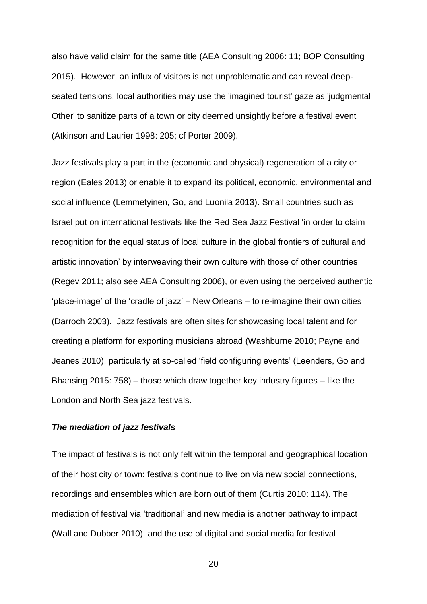also have valid claim for the same title (AEA Consulting 2006: 11; BOP Consulting 2015). However, an influx of visitors is not unproblematic and can reveal deepseated tensions: local authorities may use the 'imagined tourist' gaze as 'judgmental Other' to sanitize parts of a town or city deemed unsightly before a festival event (Atkinson and Laurier 1998: 205; cf Porter 2009).

Jazz festivals play a part in the (economic and physical) regeneration of a city or region (Eales 2013) or enable it to expand its political, economic, environmental and social influence (Lemmetyinen, Go, and Luonila 2013). Small countries such as Israel put on international festivals like the Red Sea Jazz Festival 'in order to claim recognition for the equal status of local culture in the global frontiers of cultural and artistic innovation' by interweaving their own culture with those of other countries (Regev 2011; also see AEA Consulting 2006), or even using the perceived authentic 'place-image' of the 'cradle of jazz' – New Orleans – to re-imagine their own cities (Darroch 2003). Jazz festivals are often sites for showcasing local talent and for creating a platform for exporting musicians abroad (Washburne 2010; Payne and Jeanes 2010), particularly at so-called 'field configuring events' (Leenders, Go and Bhansing 2015: 758) – those which draw together key industry figures – like the London and North Sea jazz festivals.

### *The mediation of jazz festivals*

The impact of festivals is not only felt within the temporal and geographical location of their host city or town: festivals continue to live on via new social connections, recordings and ensembles which are born out of them (Curtis 2010: 114). The mediation of festival via 'traditional' and new media is another pathway to impact (Wall and Dubber 2010), and the use of digital and social media for festival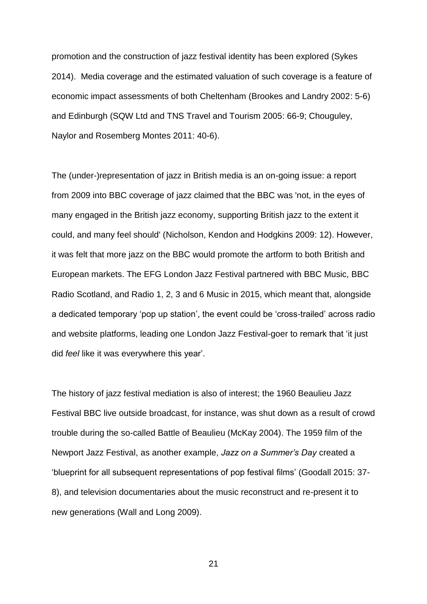promotion and the construction of jazz festival identity has been explored (Sykes 2014). Media coverage and the estimated valuation of such coverage is a feature of economic impact assessments of both Cheltenham (Brookes and Landry 2002: 5-6) and Edinburgh (SQW Ltd and TNS Travel and Tourism 2005: 66-9; Chouguley, Naylor and Rosemberg Montes 2011: 40-6).

The (under-)representation of jazz in British media is an on-going issue: a report from 2009 into BBC coverage of jazz claimed that the BBC was 'not, in the eyes of many engaged in the British jazz economy, supporting British jazz to the extent it could, and many feel should' (Nicholson, Kendon and Hodgkins 2009: 12). However, it was felt that more jazz on the BBC would promote the artform to both British and European markets. The EFG London Jazz Festival partnered with BBC Music, BBC Radio Scotland, and Radio 1, 2, 3 and 6 Music in 2015, which meant that, alongside a dedicated temporary 'pop up station', the event could be 'cross-trailed' across radio and website platforms, leading one London Jazz Festival-goer to remark that 'it just did *feel* like it was everywhere this year'.

The history of jazz festival mediation is also of interest; the 1960 Beaulieu Jazz Festival BBC live outside broadcast, for instance, was shut down as a result of crowd trouble during the so-called Battle of Beaulieu (McKay 2004). The 1959 film of the Newport Jazz Festival, as another example, *Jazz on a Summer's Day* created a 'blueprint for all subsequent representations of pop festival films' (Goodall 2015: 37- 8), and television documentaries about the music reconstruct and re-present it to new generations (Wall and Long 2009).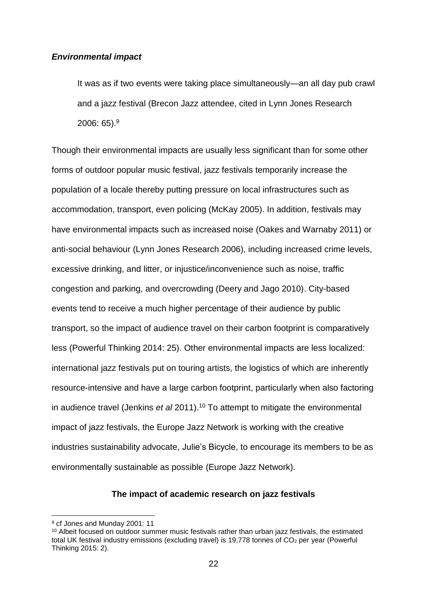### *Environmental impact*

It was as if two events were taking place simultaneously—an all day pub crawl and a jazz festival (Brecon Jazz attendee, cited in Lynn Jones Research 2006: 65).<sup>9</sup>

Though their environmental impacts are usually less significant than for some other forms of outdoor popular music festival, jazz festivals temporarily increase the population of a locale thereby putting pressure on local infrastructures such as accommodation, transport, even policing (McKay 2005). In addition, festivals may have environmental impacts such as increased noise (Oakes and Warnaby 2011) or anti-social behaviour (Lynn Jones Research 2006), including increased crime levels, excessive drinking, and litter, or injustice/inconvenience such as noise, traffic congestion and parking, and overcrowding (Deery and Jago 2010). City-based events tend to receive a much higher percentage of their audience by public transport, so the impact of audience travel on their carbon footprint is comparatively less (Powerful Thinking 2014: 25). Other environmental impacts are less localized: international jazz festivals put on touring artists, the logistics of which are inherently resource-intensive and have a large carbon footprint, particularly when also factoring in audience travel (Jenkins *et al* 2011). <sup>10</sup> To attempt to mitigate the environmental impact of jazz festivals, the Europe Jazz Network is working with the creative industries sustainability advocate, Julie's Bicycle, to encourage its members to be as environmentally sustainable as possible (Europe Jazz Network).

# **The impact of academic research on jazz festivals**

<sup>9</sup> cf Jones and Munday 2001: 11

<sup>10</sup> Albeit focused on outdoor summer music festivals rather than urban jazz festivals, the estimated total UK festival industry emissions (excluding travel) is 19,778 tonnes of  $CO<sub>2</sub>$  per year (Powerful Thinking 2015: 2).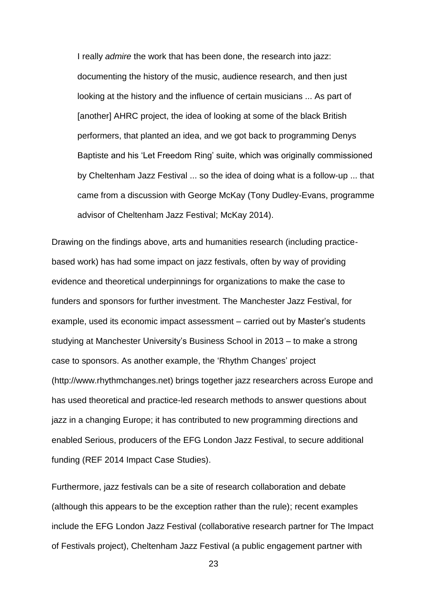I really *admire* the work that has been done, the research into jazz: documenting the history of the music, audience research, and then just looking at the history and the influence of certain musicians ... As part of [another] AHRC project, the idea of looking at some of the black British performers, that planted an idea, and we got back to programming Denys Baptiste and his 'Let Freedom Ring' suite, which was originally commissioned by Cheltenham Jazz Festival ... so the idea of doing what is a follow-up ... that came from a discussion with George McKay (Tony Dudley-Evans, programme advisor of Cheltenham Jazz Festival; McKay 2014).

Drawing on the findings above, arts and humanities research (including practicebased work) has had some impact on jazz festivals, often by way of providing evidence and theoretical underpinnings for organizations to make the case to funders and sponsors for further investment. The Manchester Jazz Festival, for example, used its economic impact assessment – carried out by Master's students studying at Manchester University's Business School in 2013 – to make a strong case to sponsors. As another example, the 'Rhythm Changes' project (http://www.rhythmchanges.net) brings together jazz researchers across Europe and has used theoretical and practice-led research methods to answer questions about jazz in a changing Europe; it has contributed to new programming directions and enabled Serious, producers of the EFG London Jazz Festival, to secure additional funding (REF 2014 Impact Case Studies).

Furthermore, jazz festivals can be a site of research collaboration and debate (although this appears to be the exception rather than the rule); recent examples include the EFG London Jazz Festival (collaborative research partner for The Impact of Festivals project), Cheltenham Jazz Festival (a public engagement partner with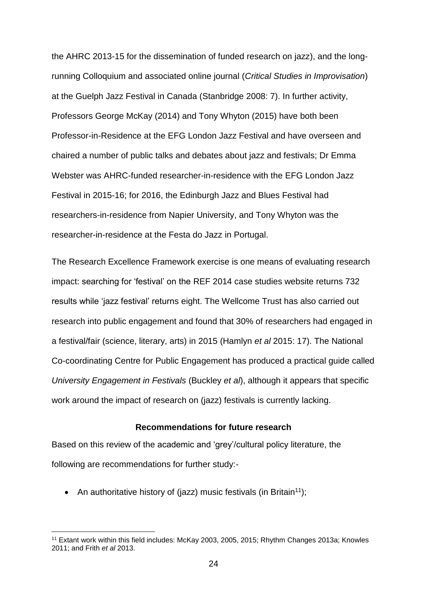the AHRC 2013-15 for the dissemination of funded research on jazz), and the longrunning Colloquium and associated online journal (*Critical Studies in Improvisation*) at the Guelph Jazz Festival in Canada (Stanbridge 2008: 7). In further activity, Professors George McKay (2014) and Tony Whyton (2015) have both been Professor-in-Residence at the EFG London Jazz Festival and have overseen and chaired a number of public talks and debates about jazz and festivals; Dr Emma Webster was AHRC-funded researcher-in-residence with the EFG London Jazz Festival in 2015-16; for 2016, the Edinburgh Jazz and Blues Festival had researchers-in-residence from Napier University, and Tony Whyton was the researcher-in-residence at the Festa do Jazz in Portugal.

The Research Excellence Framework exercise is one means of evaluating research impact: searching for 'festival' on the REF 2014 case studies website returns 732 results while 'jazz festival' returns eight. The Wellcome Trust has also carried out research into public engagement and found that 30% of researchers had engaged in a festival/fair (science, literary, arts) in 2015 (Hamlyn *et al* 2015: 17). The National Co-coordinating Centre for Public Engagement has produced a practical guide called *University Engagement in Festivals* (Buckley *et al*), although it appears that specific work around the impact of research on (jazz) festivals is currently lacking.

### **Recommendations for future research**

Based on this review of the academic and 'grey'/cultural policy literature, the following are recommendations for further study:-

• An authoritative history of (jazz) music festivals (in Britain<sup>11</sup>);

<sup>11</sup> Extant work within this field includes: McKay 2003, 2005, 2015; Rhythm Changes 2013a; Knowles 2011; and Frith *et al* 2013.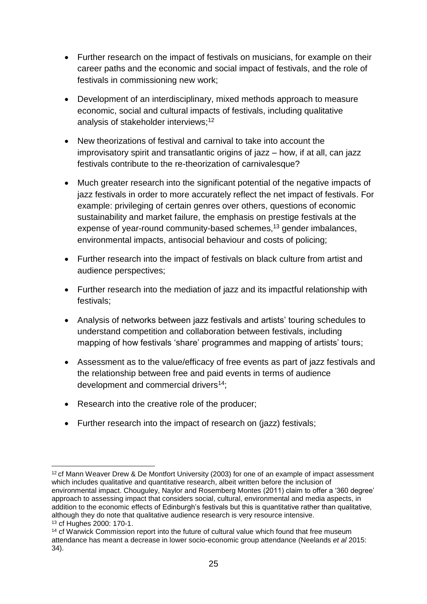- Further research on the impact of festivals on musicians, for example on their career paths and the economic and social impact of festivals, and the role of festivals in commissioning new work;
- Development of an interdisciplinary, mixed methods approach to measure economic, social and cultural impacts of festivals, including qualitative analysis of stakeholder interviews; 12
- New theorizations of festival and carnival to take into account the improvisatory spirit and transatlantic origins of jazz – how, if at all, can jazz festivals contribute to the re-theorization of carnivalesque?
- Much greater research into the significant potential of the negative impacts of jazz festivals in order to more accurately reflect the net impact of festivals. For example: privileging of certain genres over others, questions of economic sustainability and market failure, the emphasis on prestige festivals at the expense of year-round community-based schemes, <sup>13</sup> gender imbalances, environmental impacts, antisocial behaviour and costs of policing;
- Further research into the impact of festivals on black culture from artist and audience perspectives;
- Further research into the mediation of jazz and its impactful relationship with festivals;
- Analysis of networks between jazz festivals and artists' touring schedules to understand competition and collaboration between festivals, including mapping of how festivals 'share' programmes and mapping of artists' tours;
- Assessment as to the value/efficacy of free events as part of jazz festivals and the relationship between free and paid events in terms of audience development and commercial drivers<sup>14</sup>;
- Research into the creative role of the producer;
- Further research into the impact of research on (jazz) festivals;

<sup>1</sup> <sup>12</sup> cf Mann Weaver Drew & De Montfort University (2003) for one of an example of impact assessment which includes qualitative and quantitative research, albeit written before the inclusion of environmental impact. Chouguley, Naylor and Rosemberg Montes (2011) claim to offer a '360 degree' approach to assessing impact that considers social, cultural, environmental and media aspects, in addition to the economic effects of Edinburgh's festivals but this is quantitative rather than qualitative, although they do note that qualitative audience research is very resource intensive. <sup>13</sup> cf Hughes 2000: 170-1.

<sup>&</sup>lt;sup>14</sup> cf Warwick Commission report into the future of cultural value which found that free museum attendance has meant a decrease in lower socio-economic group attendance (Neelands *et al* 2015: 34).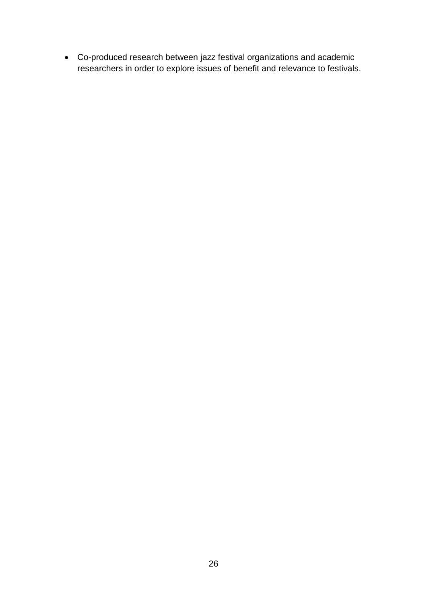Co-produced research between jazz festival organizations and academic researchers in order to explore issues of benefit and relevance to festivals.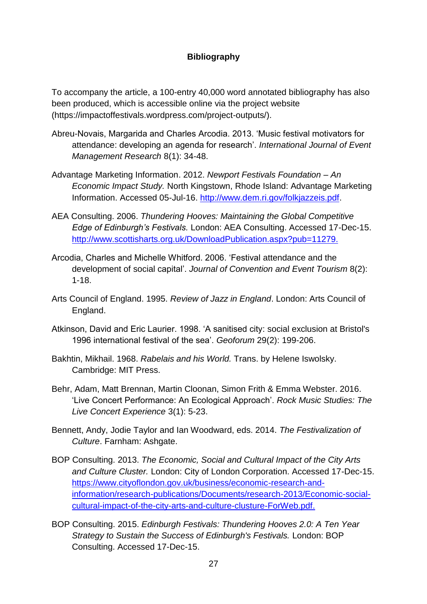# **Bibliography**

To accompany the article, a 100-entry 40,000 word annotated bibliography has also been produced, which is accessible online via the project website (https://impactoffestivals.wordpress.com/project-outputs/).

- Abreu-Novais, Margarida and Charles Arcodia. 2013. 'Music festival motivators for attendance: developing an agenda for research'. *International Journal of Event Management Research* 8(1): 34-48.
- Advantage Marketing Information. 2012. *Newport Festivals Foundation – An Economic Impact Study.* North Kingstown, Rhode Island: Advantage Marketing Information. Accessed 05-Jul-16. [http://www.dem.ri.gov/folkjazzeis.pdf.](http://www.dem.ri.gov/folkjazzeis.pdf)
- AEA Consulting. 2006. *Thundering Hooves: Maintaining the Global Competitive Edge of Edinburgh's Festivals.* London: AEA Consulting. Accessed 17-Dec-15. [http://www.scottisharts.org.uk/DownloadPublication.aspx?pub=11279.](http://www.scottisharts.org.uk/DownloadPublication.aspx?pub=11279)
- Arcodia, Charles and Michelle Whitford. 2006. 'Festival attendance and the development of social capital'. *Journal of Convention and Event Tourism* 8(2): 1-18.
- Arts Council of England. 1995. *Review of Jazz in England*. London: Arts Council of England.
- Atkinson, David and Eric Laurier. 1998. 'A sanitised city: social exclusion at Bristol's 1996 international festival of the sea'. *Geoforum* 29(2): 199-206.
- Bakhtin, Mikhail. 1968. *Rabelais and his World.* Trans. by Helene Iswolsky. Cambridge: MIT Press.
- Behr, Adam, Matt Brennan, Martin Cloonan, Simon Frith & Emma Webster. 2016. 'Live Concert Performance: An Ecological Approach'. *Rock Music Studies: The Live Concert Experience* 3(1): 5-23.
- Bennett, Andy, Jodie Taylor and Ian Woodward, eds. 2014. *The Festivalization of Culture*. Farnham: Ashgate.
- BOP Consulting. 2013. *The Economic, Social and Cultural Impact of the City Arts and Culture Cluster.* London: City of London Corporation. Accessed 17-Dec-15. [https://www.cityoflondon.gov.uk/business/economic-research-and](https://www.cityoflondon.gov.uk/business/economic-research-and-information/research-publications/Documents/research-2013/Economic-social-cultural-impact-of-the-city-arts-and-culture-clusture-ForWeb.pdf)[information/research-publications/Documents/research-2013/Economic-social](https://www.cityoflondon.gov.uk/business/economic-research-and-information/research-publications/Documents/research-2013/Economic-social-cultural-impact-of-the-city-arts-and-culture-clusture-ForWeb.pdf)[cultural-impact-of-the-city-arts-and-culture-clusture-ForWeb.pdf.](https://www.cityoflondon.gov.uk/business/economic-research-and-information/research-publications/Documents/research-2013/Economic-social-cultural-impact-of-the-city-arts-and-culture-clusture-ForWeb.pdf)
- BOP Consulting. 2015. *Edinburgh Festivals: Thundering Hooves 2.0: A Ten Year Strategy to Sustain the Success of Edinburgh's Festivals.* London: BOP Consulting. Accessed 17-Dec-15.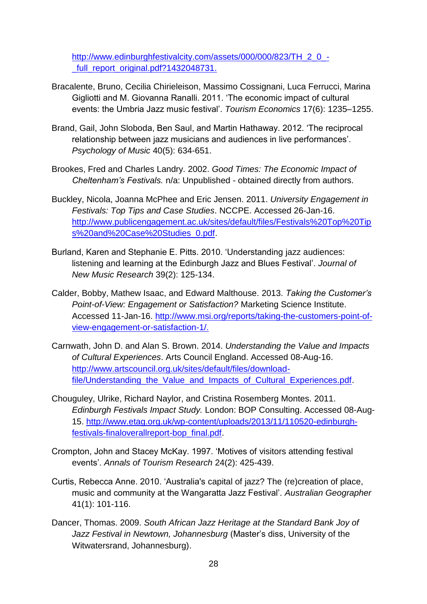[http://www.edinburghfestivalcity.com/assets/000/000/823/TH\\_2\\_0\\_](http://www.edinburghfestivalcity.com/assets/000/000/823/TH_2_0_-_full_report_original.pdf?1432048731) full\_report\_original.pdf?1432048731.

- Bracalente, Bruno, Cecilia Chirieleison, Massimo Cossignani, Luca Ferrucci, Marina Gigliotti and M. Giovanna Ranalli. 2011. 'The economic impact of cultural events: the Umbria Jazz music festival'. *Tourism Economics* 17(6): 1235–1255.
- Brand, Gail, John Sloboda, Ben Saul, and Martin Hathaway. 2012. 'The reciprocal relationship between jazz musicians and audiences in live performances'. *Psychology of Music* 40(5): 634-651.
- Brookes, Fred and Charles Landry. 2002. *Good Times: The Economic Impact of Cheltenham's Festivals.* n/a: Unpublished - obtained directly from authors.
- Buckley, Nicola, Joanna McPhee and Eric Jensen. 2011. *University Engagement in Festivals: Top Tips and Case Studies*. NCCPE. Accessed 26-Jan-16. [http://www.publicengagement.ac.uk/sites/default/files/Festivals%20Top%20Tip](http://www.publicengagement.ac.uk/sites/default/files/Festivals%20Top%20Tips%20and%20Case%20Studies_0.pdf) [s%20and%20Case%20Studies\\_0.pdf.](http://www.publicengagement.ac.uk/sites/default/files/Festivals%20Top%20Tips%20and%20Case%20Studies_0.pdf)
- Burland, Karen and Stephanie E. Pitts. 2010. 'Understanding jazz audiences: listening and learning at the Edinburgh Jazz and Blues Festival'. *Journal of New Music Research* 39(2): 125-134.
- Calder, Bobby, Mathew Isaac, and Edward Malthouse. 2013. *Taking the Customer's Point-of-View: Engagement or Satisfaction?* Marketing Science Institute. Accessed 11-Jan-16. [http://www.msi.org/reports/taking-the-customers-point-of](http://www.msi.org/reports/taking-the-customers-point-of-view-engagement-or-satisfaction-1/)[view-engagement-or-satisfaction-1/.](http://www.msi.org/reports/taking-the-customers-point-of-view-engagement-or-satisfaction-1/)
- Carnwath, John D. and Alan S. Brown. 2014. *Understanding the Value and Impacts of Cultural Experiences*. Arts Council England. Accessed 08-Aug-16. [http://www.artscouncil.org.uk/sites/default/files/download](http://www.artscouncil.org.uk/sites/default/files/download-file/Understanding_the_Value_and_Impacts_of_Cultural_Experiences.pdf)file/Understanding the Value and Impacts of Cultural Experiences.pdf.
- Chouguley, Ulrike, Richard Naylor, and Cristina Rosemberg Montes. 2011. *Edinburgh Festivals Impact Study.* London: BOP Consulting. Accessed 08-Aug-15. [http://www.etag.org.uk/wp-content/uploads/2013/11/110520-edinburgh](http://www.etag.org.uk/wp-content/uploads/2013/11/110520-edinburgh-festivals-finaloverallreport-bop_final.pdf)[festivals-finaloverallreport-bop\\_final.pdf.](http://www.etag.org.uk/wp-content/uploads/2013/11/110520-edinburgh-festivals-finaloverallreport-bop_final.pdf)
- Crompton, John and Stacey McKay. 1997. 'Motives of visitors attending festival events'. *Annals of Tourism Research* 24(2): 425-439.
- Curtis, Rebecca Anne. 2010. 'Australia's capital of jazz? The (re)creation of place, music and community at the Wangaratta Jazz Festival'. *Australian Geographer* 41(1): 101-116.
- Dancer, Thomas. 2009. *South African Jazz Heritage at the Standard Bank Joy of Jazz Festival in Newtown, Johannesburg* (Master's diss, University of the Witwatersrand, Johannesburg).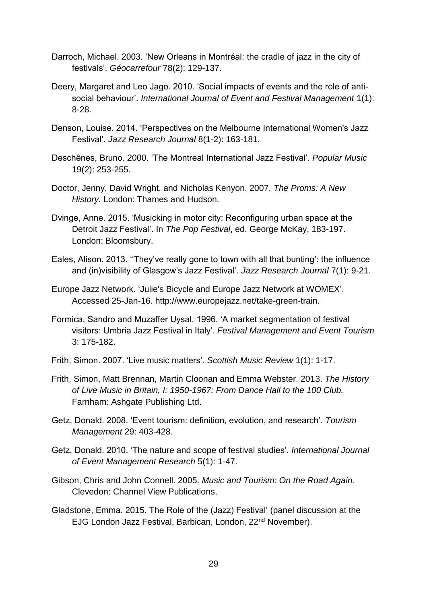- Darroch, Michael. 2003. 'New Orleans in Montréal: the cradle of jazz in the city of festivals'. *Géocarrefour* 78(2): 129-137.
- Deery, Margaret and Leo Jago. 2010. 'Social impacts of events and the role of antisocial behaviour'. *International Journal of Event and Festival Management* 1(1): 8-28.
- Denson, Louise. 2014. 'Perspectives on the Melbourne International Women's Jazz Festival'. *Jazz Research Journal* 8(1-2): 163-181.
- Deschênes, Bruno. 2000. 'The Montreal International Jazz Festival'. *Popular Music* 19(2): 253-255.
- Doctor, Jenny, David Wright, and Nicholas Kenyon. 2007. *The Proms: A New History.* London: Thames and Hudson.
- Dvinge, Anne. 2015. 'Musicking in motor city: Reconfiguring urban space at the Detroit Jazz Festival'. In *The Pop Festival*, ed. George McKay, 183-197. London: Bloomsbury.
- Eales, Alison. 2013. ''They've really gone to town with all that bunting': the influence and (in)visibility of Glasgow's Jazz Festival'. *Jazz Research Journal* 7(1): 9-21.
- Europe Jazz Network. 'Julie's Bicycle and Europe Jazz Network at WOMEX'. Accessed 25-Jan-16. [http://www.europejazz.net/take-green-train.](http://www.europejazz.net/take-green-train)
- Formica, Sandro and Muzaffer Uysal. 1996. 'A market segmentation of festival visitors: Umbria Jazz Festival in Italy'. *Festival Management and Event Tourism* 3: 175-182.
- Frith, Simon. 2007. 'Live music matters'. *Scottish Music Review* 1(1): 1-17.
- Frith, Simon, Matt Brennan, Martin Cloonan and Emma Webster. 2013. *The History of Live Music in Britain, I: 1950-1967: From Dance Hall to the 100 Club.*  Farnham: Ashgate Publishing Ltd.
- Getz, Donald. 2008. 'Event tourism: definition, evolution, and research'. *Tourism Management* 29: 403-428.
- Getz, Donald. 2010. 'The nature and scope of festival studies'. *International Journal of Event Management Research* 5(1): 1-47.
- Gibson, Chris and John Connell. 2005. *Music and Tourism: On the Road Again.*  Clevedon: Channel View Publications.
- Gladstone, Emma. 2015. The Role of the (Jazz) Festival' (panel discussion at the EJG London Jazz Festival, Barbican, London, 22nd November).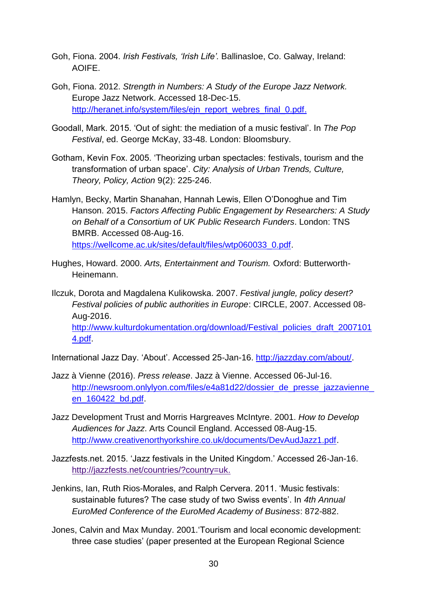- Goh, Fiona. 2004. *Irish Festivals, 'Irish Life'.* Ballinasloe, Co. Galway, Ireland: AOIFE.
- Goh, Fiona. 2012. *Strength in Numbers: A Study of the Europe Jazz Network.* Europe Jazz Network. Accessed 18-Dec-15. [http://heranet.info/system/files/ejn\\_report\\_webres\\_final\\_0.pdf.](http://heranet.info/system/files/ejn_report_webres_final_0.pdf)
- Goodall, Mark. 2015. 'Out of sight: the mediation of a music festival'. In *The Pop Festival*, ed. George McKay, 33-48. London: Bloomsbury.
- Gotham, Kevin Fox. 2005. 'Theorizing urban spectacles: festivals, tourism and the transformation of urban space'. *City: Analysis of Urban Trends, Culture, Theory, Policy, Action* 9(2): 225-246.
- Hamlyn, Becky, Martin Shanahan, Hannah Lewis, Ellen O'Donoghue and Tim Hanson. 2015. *Factors Affecting Public Engagement by Researchers: A Study on Behalf of a Consortium of UK Public Research Funders*. London: TNS BMRB. Accessed 08-Aug-16. [https://wellcome.ac.uk/sites/default/files/wtp060033\\_0.pdf.](https://wellcome.ac.uk/sites/default/files/wtp060033_0.pdf)
- Hughes, Howard. 2000. *Arts, Entertainment and Tourism.* Oxford: Butterworth-Heinemann.

Ilczuk, Dorota and Magdalena Kulikowska. 2007. *Festival jungle, policy desert? Festival policies of public authorities in Europe*: CIRCLE, 2007. Accessed 08- Aug-2016. [http://www.kulturdokumentation.org/download/Festival\\_policies\\_draft\\_2007101](http://www.kulturdokumentation.org/download/Festival_policies_draft_20071014.pdf) [4.pdf.](http://www.kulturdokumentation.org/download/Festival_policies_draft_20071014.pdf)

International Jazz Day. 'About'. Accessed 25-Jan-16. [http://jazzday.com/about/.](http://jazzday.com/about/)

- Jazz à Vienne (2016). *Press release*. Jazz à Vienne. Accessed 06-Jul-16. http://newsroom.onlylyon.com/files/e4a81d22/dossier\_de\_presse\_jazzavienne [en\\_160422\\_bd.pdf.](http://newsroom.onlylyon.com/files/e4a81d22/dossier_de_presse_jazzavienne_en_160422_bd.pdf)
- Jazz Development Trust and Morris Hargreaves McIntyre. 2001. *How to Develop Audiences for Jazz*. Arts Council England. Accessed 08-Aug-15. [http://www.creativenorthyorkshire.co.uk/documents/DevAudJazz1.pdf.](http://www.creativenorthyorkshire.co.uk/documents/DevAudJazz1.pdf)
- Jazzfests.net. 2015. 'Jazz festivals in the United Kingdom.' Accessed 26-Jan-16. [http://jazzfests.net/countries/?country=uk.](http://jazzfests.net/countries/?country=uk)
- Jenkins, Ian, Ruth Rios-Morales, and Ralph Cervera. 2011. 'Music festivals: sustainable futures? The case study of two Swiss events'. In *4th Annual EuroMed Conference of the EuroMed Academy of Business*: 872-882.
- Jones, Calvin and Max Munday. 2001.'Tourism and local economic development: three case studies' (paper presented at the European Regional Science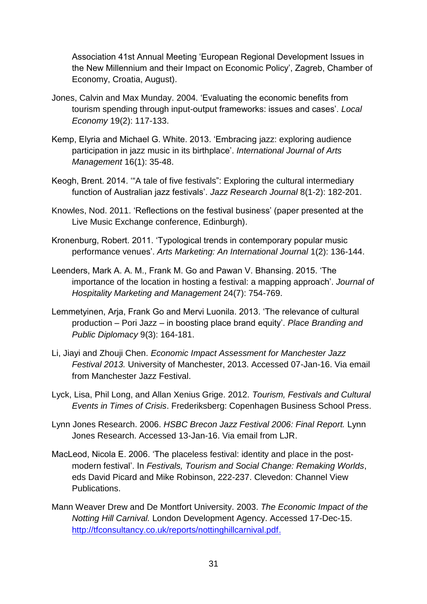Association 41st Annual Meeting 'European Regional Development Issues in the New Millennium and their Impact on Economic Policy', Zagreb, Chamber of Economy, Croatia, August).

- Jones, Calvin and Max Munday. 2004. 'Evaluating the economic benefits from tourism spending through input-output frameworks: issues and cases'. *Local Economy* 19(2): 117-133.
- Kemp, Elyria and Michael G. White. 2013. 'Embracing jazz: exploring audience participation in jazz music in its birthplace'. *International Journal of Arts Management* 16(1): 35-48.
- Keogh, Brent. 2014. '"A tale of five festivals": Exploring the cultural intermediary function of Australian jazz festivals'. *Jazz Research Journal* 8(1-2): 182-201.
- Knowles, Nod. 2011. 'Reflections on the festival business' (paper presented at the Live Music Exchange conference, Edinburgh).
- Kronenburg, Robert. 2011. 'Typological trends in contemporary popular music performance venues'. *Arts Marketing: An International Journal* 1(2): 136-144.
- Leenders, Mark A. A. M., Frank M. Go and Pawan V. Bhansing. 2015. 'The importance of the location in hosting a festival: a mapping approach'. *Journal of Hospitality Marketing and Management* 24(7): 754-769.
- Lemmetyinen, Arja, Frank Go and Mervi Luonila. 2013. 'The relevance of cultural production – Pori Jazz – in boosting place brand equity'. *Place Branding and Public Diplomacy* 9(3): 164-181.
- Li, Jiayi and Zhouji Chen. *Economic Impact Assessment for Manchester Jazz Festival 2013.* University of Manchester, 2013. Accessed 07-Jan-16. Via email from Manchester Jazz Festival.
- Lyck, Lisa, Phil Long, and Allan Xenius Grige. 2012. *Tourism, Festivals and Cultural Events in Times of Crisis*. Frederiksberg: Copenhagen Business School Press.
- Lynn Jones Research. 2006. *HSBC Brecon Jazz Festival 2006: Final Report.* Lynn Jones Research. Accessed 13-Jan-16. Via email from LJR.
- MacLeod, Nicola E. 2006. 'The placeless festival: identity and place in the postmodern festival'. In *Festivals, Tourism and Social Change: Remaking Worlds*, eds David Picard and Mike Robinson, 222-237. Clevedon: Channel View Publications.
- Mann Weaver Drew and De Montfort University. 2003. *The Economic Impact of the Notting Hill Carnival.* London Development Agency. Accessed 17-Dec-15. [http://tfconsultancy.co.uk/reports/nottinghillcarnival.pdf.](http://tfconsultancy.co.uk/reports/nottinghillcarnival.pdf)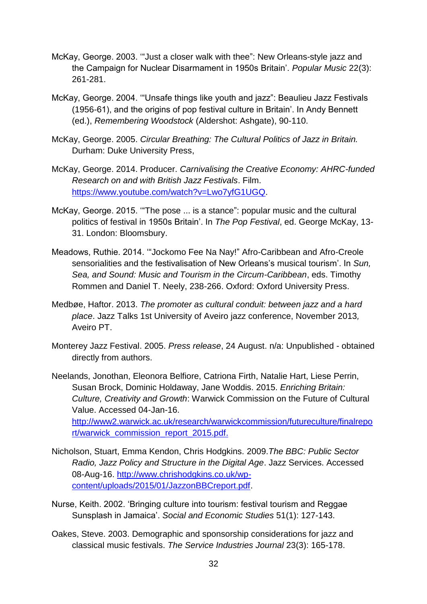- McKay, George. 2003. '"Just a closer walk with thee": New Orleans-style jazz and the Campaign for Nuclear Disarmament in 1950s Britain'. *Popular Music* 22(3): 261-281.
- McKay, George. 2004. '"Unsafe things like youth and jazz": Beaulieu Jazz Festivals (1956-61), and the origins of pop festival culture in Britain'. In Andy Bennett (ed.), *Remembering Woodstock* (Aldershot: Ashgate), 90-110.
- McKay, George. 2005. *Circular Breathing: The Cultural Politics of Jazz in Britain.*  Durham: Duke University Press,
- McKay, George. 2014. Producer. *Carnivalising the Creative Economy: AHRC-funded Research on and with British Jazz Festivals*. Film. [https://www.youtube.com/watch?v=Lwo7yfG1UGQ.](https://www.youtube.com/watch?v=Lwo7yfG1UGQ)
- McKay, George. 2015. '"The pose ... is a stance": popular music and the cultural politics of festival in 1950s Britain'. In *The Pop Festival*, ed. George McKay, 13- 31. London: Bloomsbury.
- Meadows, Ruthie. 2014. '"Jockomo Fee Na Nay!" Afro-Caribbean and Afro-Creole sensorialities and the festivalisation of New Orleans's musical tourism'. In *Sun, Sea, and Sound: Music and Tourism in the Circum-Caribbean*, eds. Timothy Rommen and Daniel T. Neely, 238-266. Oxford: Oxford University Press.
- Medbøe, Haftor. 2013. *The promoter as cultural conduit: between jazz and a hard place*. Jazz Talks 1st University of Aveiro jazz conference, November 2013*,*  Aveiro PT.
- Monterey Jazz Festival. 2005. *Press release*, 24 August. n/a: Unpublished obtained directly from authors.
- Neelands, Jonothan, Eleonora Belfiore, Catriona Firth, Natalie Hart, Liese Perrin, Susan Brock, Dominic Holdaway, Jane Woddis. 2015. *Enriching Britain: Culture, Creativity and Growth*: Warwick Commission on the Future of Cultural Value. Accessed 04-Jan-16.

[http://www2.warwick.ac.uk/research/warwickcommission/futureculture/finalrepo](http://www2.warwick.ac.uk/research/warwickcommission/futureculture/finalreport/warwick_commission_report_2015.pdf) [rt/warwick\\_commission\\_report\\_2015.pdf.](http://www2.warwick.ac.uk/research/warwickcommission/futureculture/finalreport/warwick_commission_report_2015.pdf)

- Nicholson, Stuart, Emma Kendon, Chris Hodgkins. 2009.*The BBC: Public Sector Radio, Jazz Policy and Structure in the Digital Age*. Jazz Services. Accessed 08-Aug-16. [http://www.chrishodgkins.co.uk/wp](http://www.chrishodgkins.co.uk/wp-content/uploads/2015/01/JazzonBBCreport.pdf)[content/uploads/2015/01/JazzonBBCreport.pdf.](http://www.chrishodgkins.co.uk/wp-content/uploads/2015/01/JazzonBBCreport.pdf)
- Nurse, Keith. 2002. 'Bringing culture into tourism: festival tourism and Reggae Sunsplash in Jamaica'. *Social and Economic Studies* 51(1): 127-143.
- Oakes, Steve. 2003. Demographic and sponsorship considerations for jazz and classical music festivals. *The Service Industries Journal* 23(3): 165-178.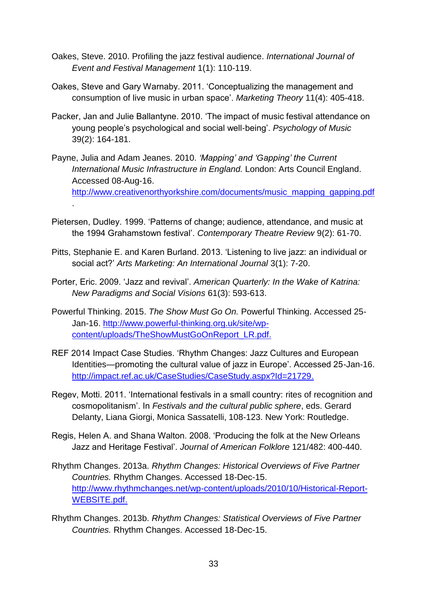- Oakes, Steve. 2010. Profiling the jazz festival audience. *International Journal of Event and Festival Management* 1(1): 110-119.
- Oakes, Steve and Gary Warnaby. 2011. 'Conceptualizing the management and consumption of live music in urban space'. *Marketing Theory* 11(4): 405-418.
- Packer, Jan and Julie Ballantyne. 2010. 'The impact of music festival attendance on young people's psychological and social well-being'. *Psychology of Music* 39(2): 164-181.
- Payne, Julia and Adam Jeanes. 2010. *'Mapping' and 'Gapping' the Current International Music Infrastructure in England.* London: Arts Council England. Accessed 08-Aug-16. [http://www.creativenorthyorkshire.com/documents/music\\_mapping\\_gapping.pdf](http://www.creativenorthyorkshire.com/documents/music_mapping_gapping.pdf) .
- Pietersen, Dudley. 1999. 'Patterns of change; audience, attendance, and music at the 1994 Grahamstown festival'. *Contemporary Theatre Review* 9(2): 61-70.
- Pitts, Stephanie E. and Karen Burland. 2013. 'Listening to live jazz: an individual or social act?' *Arts Marketing: An International Journal* 3(1): 7-20.
- Porter, Eric. 2009. 'Jazz and revival'. *American Quarterly: In the Wake of Katrina: New Paradigms and Social Visions* 61(3): 593-613.
- Powerful Thinking. 2015. *The Show Must Go On.* Powerful Thinking. Accessed 25- Jan-16. [http://www.powerful-thinking.org.uk/site/wp](http://www.powerful-thinking.org.uk/site/wp-content/uploads/TheShowMustGoOnReport_LR.pdf)[content/uploads/TheShowMustGoOnReport\\_LR.pdf.](http://www.powerful-thinking.org.uk/site/wp-content/uploads/TheShowMustGoOnReport_LR.pdf)
- REF 2014 Impact Case Studies. 'Rhythm Changes: Jazz Cultures and European Identities—promoting the cultural value of jazz in Europe'. Accessed 25-Jan-16. [http://impact.ref.ac.uk/CaseStudies/CaseStudy.aspx?Id=21729.](http://impact.ref.ac.uk/CaseStudies/CaseStudy.aspx?Id=21729)
- Regev, Motti. 2011. 'International festivals in a small country: rites of recognition and cosmopolitanism'. In *Festivals and the cultural public sphere*, eds. Gerard Delanty, Liana Giorgi, Monica Sassatelli, 108-123. New York: Routledge.
- Regis, Helen A. and Shana Walton. 2008. 'Producing the folk at the New Orleans Jazz and Heritage Festival'. *Journal of American Folklore* 121/482: 400-440.
- Rhythm Changes. 2013a. *Rhythm Changes: Historical Overviews of Five Partner Countries.* Rhythm Changes. Accessed 18-Dec-15. [http://www.rhythmchanges.net/wp-content/uploads/2010/10/Historical-Report-](http://www.rhythmchanges.net/wp-content/uploads/2010/10/Historical-Report-WEBSITE.pdf)[WEBSITE.pdf.](http://www.rhythmchanges.net/wp-content/uploads/2010/10/Historical-Report-WEBSITE.pdf)
- Rhythm Changes. 2013b. *Rhythm Changes: Statistical Overviews of Five Partner Countries.* Rhythm Changes. Accessed 18-Dec-15.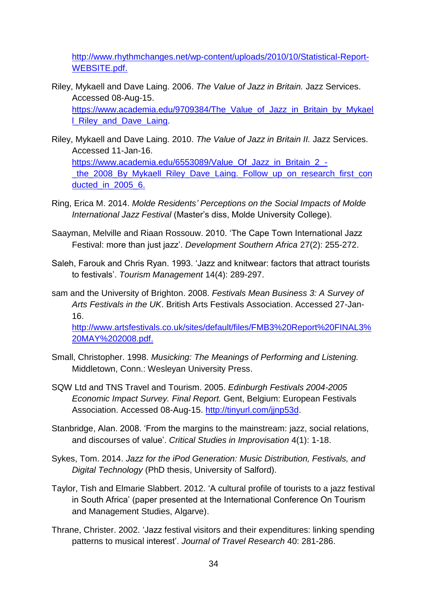[http://www.rhythmchanges.net/wp-content/uploads/2010/10/Statistical-Report-](http://www.rhythmchanges.net/wp-content/uploads/2010/10/Statistical-Report-WEBSITE.pdf)[WEBSITE.pdf.](http://www.rhythmchanges.net/wp-content/uploads/2010/10/Statistical-Report-WEBSITE.pdf)

- Riley, Mykaell and Dave Laing. 2006. *The Value of Jazz in Britain.* Jazz Services. Accessed 08-Aug-15. https://www.academia.edu/9709384/The Value of Jazz in Britain by Mykael [l\\_Riley\\_and\\_Dave\\_Laing.](https://www.academia.edu/9709384/The_Value_of_Jazz_in_Britain_by_Mykaell_Riley_and_Dave_Laing)
- Riley, Mykaell and Dave Laing. 2010. *The Value of Jazz in Britain II.* Jazz Services. Accessed 11-Jan-16. [https://www.academia.edu/6553089/Value\\_Of\\_Jazz\\_in\\_Britain\\_2\\_](https://www.academia.edu/6553089/Value_Of_Jazz_in_Britain_2_-_the_2008_By_Mykaell_Riley_Dave_Laing._Follow_up_on_research_first_conducted_in_2005_6) the\_2008\_By\_Mykaell\_Riley\_Dave\_Laing.\_Follow\_up\_on\_research\_first\_con ducted in 2005 6.
- Ring, Erica M. 2014. *Molde Residents' Perceptions on the Social Impacts of Molde International Jazz Festival* (Master's diss, Molde University College).
- Saayman, Melville and Riaan Rossouw. 2010. 'The Cape Town International Jazz Festival: more than just jazz'. *Development Southern Africa* 27(2): 255-272.
- Saleh, Farouk and Chris Ryan. 1993. 'Jazz and knitwear: factors that attract tourists to festivals'. *Tourism Management* 14(4): 289-297.
- sam and the University of Brighton. 2008. *Festivals Mean Business 3: A Survey of Arts Festivals in the UK*. British Arts Festivals Association. Accessed 27-Jan-16.

[http://www.artsfestivals.co.uk/sites/default/files/FMB3%20Report%20FINAL3%](http://www.artsfestivals.co.uk/sites/default/files/FMB3%20Report%20FINAL3%20MAY%202008.pdf) [20MAY%202008.pdf.](http://www.artsfestivals.co.uk/sites/default/files/FMB3%20Report%20FINAL3%20MAY%202008.pdf)

- Small, Christopher. 1998. *Musicking: The Meanings of Performing and Listening.*  Middletown, Conn.: Wesleyan University Press.
- SQW Ltd and TNS Travel and Tourism. 2005. *Edinburgh Festivals 2004-2005 Economic Impact Survey. Final Report.* Gent, Belgium: European Festivals Association. Accessed 08-Aug-15. [http://tinyurl.com/jjnp53d.](http://tinyurl.com/jjnp53d)
- Stanbridge, Alan. 2008. 'From the margins to the mainstream: jazz, social relations, and discourses of value'. *Critical Studies in Improvisation* 4(1): 1-18.
- Sykes, Tom. 2014. *Jazz for the iPod Generation: Music Distribution, Festivals, and Digital Technology* (PhD thesis, University of Salford).
- Taylor, Tish and Elmarie Slabbert. 2012. 'A cultural profile of tourists to a jazz festival in South Africa' (paper presented at the International Conference On Tourism and Management Studies, Algarve).
- Thrane, Christer. 2002. 'Jazz festival visitors and their expenditures: linking spending patterns to musical interest'. *Journal of Travel Research* 40: 281-286.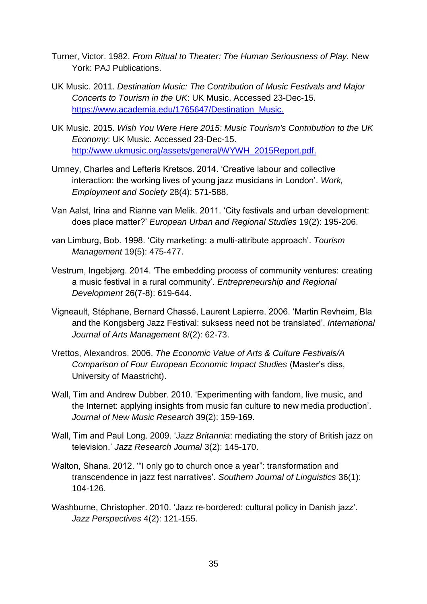- Turner, Victor. 1982. *From Ritual to Theater: The Human Seriousness of Play.* New York: PAJ Publications.
- UK Music. 2011. *Destination Music: The Contribution of Music Festivals and Major Concerts to Tourism in the UK*: UK Music. Accessed 23-Dec-15. [https://www.academia.edu/1765647/Destination\\_Music.](https://www.academia.edu/1765647/Destination_Music)
- UK Music. 2015. *Wish You Were Here 2015: Music Tourism's Contribution to the UK Economy*: UK Music. Accessed 23-Dec-15. [http://www.ukmusic.org/assets/general/WYWH\\_2015Report.pdf.](http://www.ukmusic.org/assets/general/WYWH_2015Report.pdf)
- Umney, Charles and Lefteris Kretsos. 2014. 'Creative labour and collective interaction: the working lives of young jazz musicians in London'. *Work, Employment and Society* 28(4): 571-588.
- Van Aalst, Irina and Rianne van Melik. 2011. 'City festivals and urban development: does place matter?' *European Urban and Regional Studies* 19(2): 195-206.
- van Limburg, Bob. 1998. 'City marketing: a multi-attribute approach'. *Tourism Management* 19(5): 475-477.
- Vestrum, Ingebjørg. 2014. 'The embedding process of community ventures: creating a music festival in a rural community'. *Entrepreneurship and Regional Development* 26(7-8): 619-644.
- Vigneault, Stéphane, Bernard Chassé, Laurent Lapierre. 2006. 'Martin Revheim, Bla and the Kongsberg Jazz Festival: suksess need not be translated'. *International Journal of Arts Management* 8/(2): 62-73.
- Vrettos, Alexandros. 2006. *The Economic Value of Arts & Culture Festivals/A Comparison of Four European Economic Impact Studies* (Master's diss, University of Maastricht).
- Wall, Tim and Andrew Dubber. 2010. 'Experimenting with fandom, live music, and the Internet: applying insights from music fan culture to new media production'. *Journal of New Music Research* 39(2): 159-169.
- Wall, Tim and Paul Long. 2009. '*Jazz Britannia*: mediating the story of British jazz on television.' *Jazz Research Journal* 3(2): 145-170.
- Walton, Shana. 2012. "I only go to church once a year": transformation and transcendence in jazz fest narratives'. *Southern Journal of Linguistics* 36(1): 104-126.
- Washburne, Christopher. 2010. 'Jazz re‐bordered: cultural policy in Danish jazz'. *Jazz Perspectives* 4(2): 121-155.